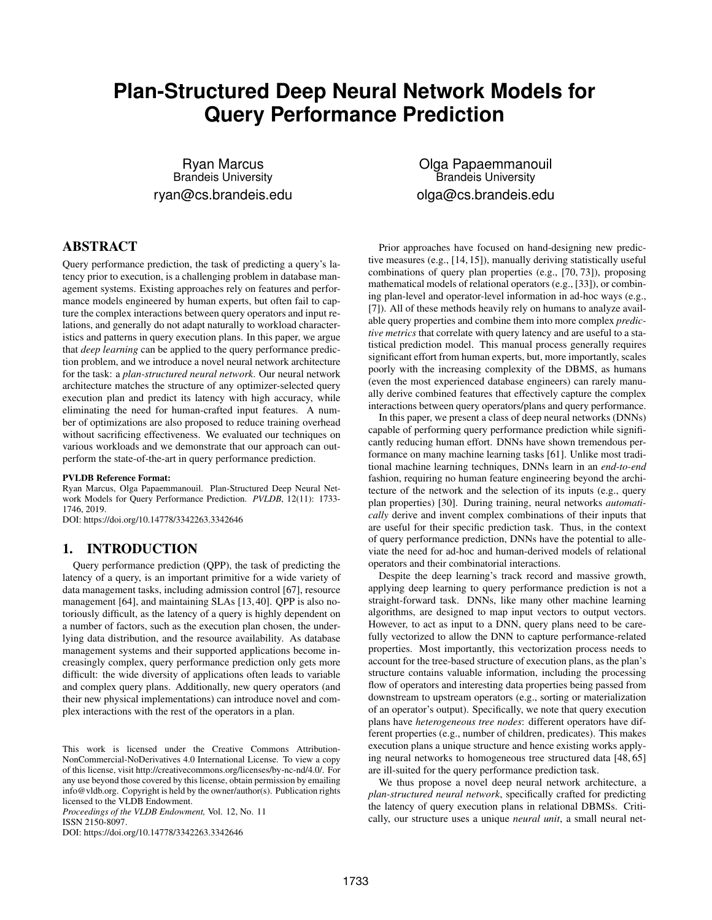# **Plan-Structured Deep Neural Network Models for Query Performance Prediction**

Ryan Marcus Brandeis University ryan@cs.brandeis.edu

# ABSTRACT

Query performance prediction, the task of predicting a query's latency prior to execution, is a challenging problem in database management systems. Existing approaches rely on features and performance models engineered by human experts, but often fail to capture the complex interactions between query operators and input relations, and generally do not adapt naturally to workload characteristics and patterns in query execution plans. In this paper, we argue that *deep learning* can be applied to the query performance prediction problem, and we introduce a novel neural network architecture for the task: a *plan-structured neural network*. Our neural network architecture matches the structure of any optimizer-selected query execution plan and predict its latency with high accuracy, while eliminating the need for human-crafted input features. A number of optimizations are also proposed to reduce training overhead without sacrificing effectiveness. We evaluated our techniques on various workloads and we demonstrate that our approach can outperform the state-of-the-art in query performance prediction.

#### PVLDB Reference Format:

Ryan Marcus, Olga Papaemmanouil. Plan-Structured Deep Neural Network Models for Query Performance Prediction. *PVLDB*, 12(11): 1733- 1746, 2019.

DOI: https://doi.org/10.14778/3342263.3342646

# 1. INTRODUCTION

Query performance prediction (QPP), the task of predicting the latency of a query, is an important primitive for a wide variety of data management tasks, including admission control [67], resource management [64], and maintaining SLAs [13, 40]. QPP is also notoriously difficult, as the latency of a query is highly dependent on a number of factors, such as the execution plan chosen, the underlying data distribution, and the resource availability. As database management systems and their supported applications become increasingly complex, query performance prediction only gets more difficult: the wide diversity of applications often leads to variable and complex query plans. Additionally, new query operators (and their new physical implementations) can introduce novel and complex interactions with the rest of the operators in a plan.

*Proceedings of the VLDB Endowment,* Vol. 12, No. 11 ISSN 2150-8097.

DOI: https://doi.org/10.14778/3342263.3342646

Olga Papaemmanouil Brandeis University olga@cs.brandeis.edu

Prior approaches have focused on hand-designing new predictive measures (e.g., [14, 15]), manually deriving statistically useful combinations of query plan properties (e.g., [70, 73]), proposing mathematical models of relational operators (e.g., [33]), or combining plan-level and operator-level information in ad-hoc ways (e.g., [7]). All of these methods heavily rely on humans to analyze available query properties and combine them into more complex *predictive metrics* that correlate with query latency and are useful to a statistical prediction model. This manual process generally requires significant effort from human experts, but, more importantly, scales poorly with the increasing complexity of the DBMS, as humans (even the most experienced database engineers) can rarely manually derive combined features that effectively capture the complex interactions between query operators/plans and query performance.

In this paper, we present a class of deep neural networks (DNNs) capable of performing query performance prediction while significantly reducing human effort. DNNs have shown tremendous performance on many machine learning tasks [61]. Unlike most traditional machine learning techniques, DNNs learn in an *end-to-end* fashion, requiring no human feature engineering beyond the architecture of the network and the selection of its inputs (e.g., query plan properties) [30]. During training, neural networks *automatically* derive and invent complex combinations of their inputs that are useful for their specific prediction task. Thus, in the context of query performance prediction, DNNs have the potential to alleviate the need for ad-hoc and human-derived models of relational operators and their combinatorial interactions.

Despite the deep learning's track record and massive growth, applying deep learning to query performance prediction is not a straight-forward task. DNNs, like many other machine learning algorithms, are designed to map input vectors to output vectors. However, to act as input to a DNN, query plans need to be carefully vectorized to allow the DNN to capture performance-related properties. Most importantly, this vectorization process needs to account for the tree-based structure of execution plans, as the plan's structure contains valuable information, including the processing flow of operators and interesting data properties being passed from downstream to upstream operators (e.g., sorting or materialization of an operator's output). Specifically, we note that query execution plans have *heterogeneous tree nodes*: different operators have different properties (e.g., number of children, predicates). This makes execution plans a unique structure and hence existing works applying neural networks to homogeneous tree structured data [48, 65] are ill-suited for the query performance prediction task.

We thus propose a novel deep neural network architecture, a *plan-structured neural network*, specifically crafted for predicting the latency of query execution plans in relational DBMSs. Critically, our structure uses a unique *neural unit*, a small neural net-

This work is licensed under the Creative Commons Attribution-NonCommercial-NoDerivatives 4.0 International License. To view a copy of this license, visit http://creativecommons.org/licenses/by-nc-nd/4.0/. For any use beyond those covered by this license, obtain permission by emailing info@vldb.org. Copyright is held by the owner/author(s). Publication rights licensed to the VLDB Endowment.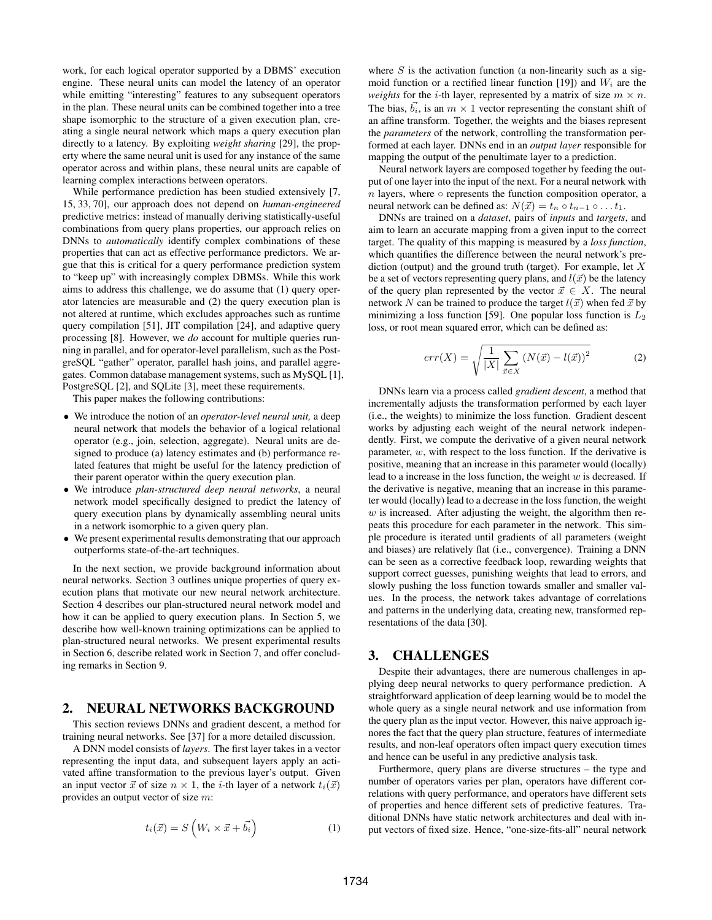work, for each logical operator supported by a DBMS' execution engine. These neural units can model the latency of an operator while emitting "interesting" features to any subsequent operators in the plan. These neural units can be combined together into a tree shape isomorphic to the structure of a given execution plan, creating a single neural network which maps a query execution plan directly to a latency. By exploiting *weight sharing* [29], the property where the same neural unit is used for any instance of the same operator across and within plans, these neural units are capable of learning complex interactions between operators.

While performance prediction has been studied extensively [7, 15, 33, 70], our approach does not depend on *human-engineered* predictive metrics: instead of manually deriving statistically-useful combinations from query plans properties, our approach relies on DNNs to *automatically* identify complex combinations of these properties that can act as effective performance predictors. We argue that this is critical for a query performance prediction system to "keep up" with increasingly complex DBMSs. While this work aims to address this challenge, we do assume that (1) query operator latencies are measurable and (2) the query execution plan is not altered at runtime, which excludes approaches such as runtime query compilation [51], JIT compilation [24], and adaptive query processing [8]. However, we *do* account for multiple queries running in parallel, and for operator-level parallelism, such as the PostgreSQL "gather" operator, parallel hash joins, and parallel aggregates. Common database management systems, such as MySQL [1], PostgreSQL [2], and SQLite [3], meet these requirements.

This paper makes the following contributions:

- We introduce the notion of an *operator-level neural unit,* a deep neural network that models the behavior of a logical relational operator (e.g., join, selection, aggregate). Neural units are designed to produce (a) latency estimates and (b) performance related features that might be useful for the latency prediction of their parent operator within the query execution plan.
- We introduce *plan-structured deep neural networks*, a neural network model specifically designed to predict the latency of query execution plans by dynamically assembling neural units in a network isomorphic to a given query plan.
- We present experimental results demonstrating that our approach outperforms state-of-the-art techniques.

In the next section, we provide background information about neural networks. Section 3 outlines unique properties of query execution plans that motivate our new neural network architecture. Section 4 describes our plan-structured neural network model and how it can be applied to query execution plans. In Section 5, we describe how well-known training optimizations can be applied to plan-structured neural networks. We present experimental results in Section 6, describe related work in Section 7, and offer concluding remarks in Section 9.

# 2. NEURAL NETWORKS BACKGROUND

This section reviews DNNs and gradient descent, a method for training neural networks. See [37] for a more detailed discussion.

A DNN model consists of *layers*. The first layer takes in a vector representing the input data, and subsequent layers apply an activated affine transformation to the previous layer's output. Given an input vector  $\vec{x}$  of size  $n \times 1$ , the *i*-th layer of a network  $t_i(\vec{x})$ provides an output vector of size m:

$$
t_i(\vec{x}) = S\left(W_i \times \vec{x} + \vec{b_i}\right) \tag{1}
$$

where  $S$  is the activation function (a non-linearity such as a sigmoid function or a rectified linear function [19]) and  $W_i$  are the *weights* for the *i*-th layer, represented by a matrix of size  $m \times n$ . The bias,  $\vec{b_i}$ , is an  $m \times 1$  vector representing the constant shift of an affine transform. Together, the weights and the biases represent the *parameters* of the network, controlling the transformation performed at each layer. DNNs end in an *output layer* responsible for mapping the output of the penultimate layer to a prediction.

Neural network layers are composed together by feeding the output of one layer into the input of the next. For a neural network with n layers, where  $\circ$  represents the function composition operator, a neural network can be defined as:  $N(\vec{x}) = t_n \circ t_{n-1} \circ \dots t_1$ .

DNNs are trained on a *dataset*, pairs of *inputs* and *targets*, and aim to learn an accurate mapping from a given input to the correct target. The quality of this mapping is measured by a *loss function*, which quantifies the difference between the neural network's prediction (output) and the ground truth (target). For example, let  $X$ be a set of vectors representing query plans, and  $l(\vec{x})$  be the latency of the query plan represented by the vector  $\vec{x} \in X$ . The neural network N can be trained to produce the target  $l(\vec{x})$  when fed  $\vec{x}$  by minimizing a loss function [59]. One popular loss function is  $L_2$ loss, or root mean squared error, which can be defined as:

$$
err(X) = \sqrt{\frac{1}{|X|} \sum_{\vec{x} \in X} \left( N(\vec{x}) - l(\vec{x}) \right)^2}
$$
 (2)

DNNs learn via a process called *gradient descent*, a method that incrementally adjusts the transformation performed by each layer (i.e., the weights) to minimize the loss function. Gradient descent works by adjusting each weight of the neural network independently. First, we compute the derivative of a given neural network parameter, w, with respect to the loss function. If the derivative is positive, meaning that an increase in this parameter would (locally) lead to a increase in the loss function, the weight  $w$  is decreased. If the derivative is negative, meaning that an increase in this parameter would (locally) lead to a decrease in the loss function, the weight  $w$  is increased. After adjusting the weight, the algorithm then repeats this procedure for each parameter in the network. This simple procedure is iterated until gradients of all parameters (weight and biases) are relatively flat (i.e., convergence). Training a DNN can be seen as a corrective feedback loop, rewarding weights that support correct guesses, punishing weights that lead to errors, and slowly pushing the loss function towards smaller and smaller values. In the process, the network takes advantage of correlations and patterns in the underlying data, creating new, transformed representations of the data [30].

#### 3. CHALLENGES

Despite their advantages, there are numerous challenges in applying deep neural networks to query performance prediction. A straightforward application of deep learning would be to model the whole query as a single neural network and use information from the query plan as the input vector. However, this naive approach ignores the fact that the query plan structure, features of intermediate results, and non-leaf operators often impact query execution times and hence can be useful in any predictive analysis task.

Furthermore, query plans are diverse structures – the type and number of operators varies per plan, operators have different correlations with query performance, and operators have different sets of properties and hence different sets of predictive features. Traditional DNNs have static network architectures and deal with input vectors of fixed size. Hence, "one-size-fits-all" neural network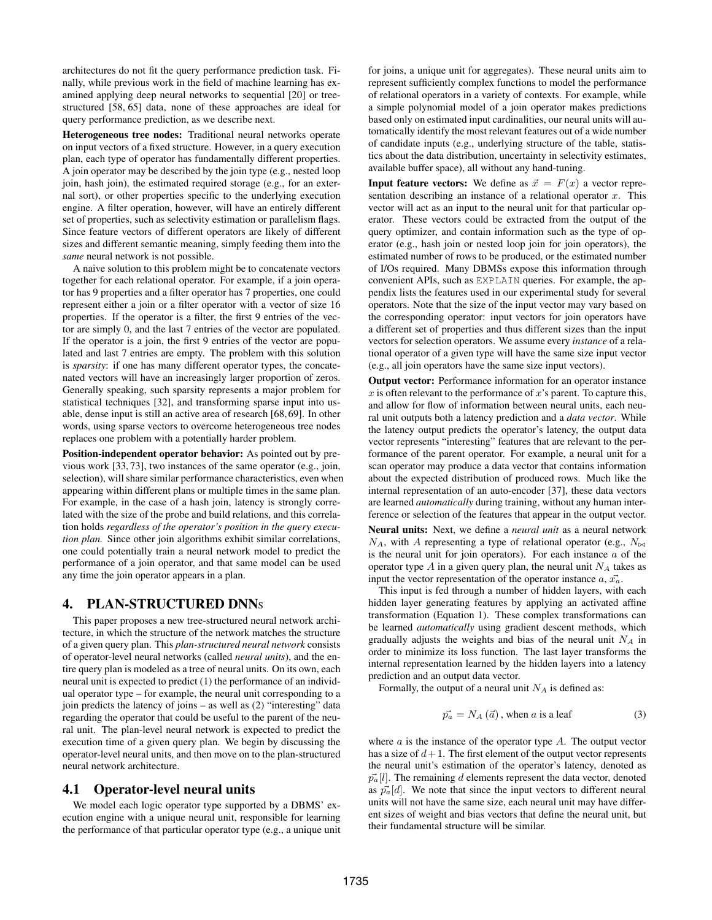architectures do not fit the query performance prediction task. Finally, while previous work in the field of machine learning has examined applying deep neural networks to sequential [20] or treestructured [58, 65] data, none of these approaches are ideal for query performance prediction, as we describe next.

Heterogeneous tree nodes: Traditional neural networks operate on input vectors of a fixed structure. However, in a query execution plan, each type of operator has fundamentally different properties. A join operator may be described by the join type (e.g., nested loop join, hash join), the estimated required storage (e.g., for an external sort), or other properties specific to the underlying execution engine. A filter operation, however, will have an entirely different set of properties, such as selectivity estimation or parallelism flags. Since feature vectors of different operators are likely of different sizes and different semantic meaning, simply feeding them into the *same* neural network is not possible.

A naive solution to this problem might be to concatenate vectors together for each relational operator. For example, if a join operator has 9 properties and a filter operator has 7 properties, one could represent either a join or a filter operator with a vector of size 16 properties. If the operator is a filter, the first 9 entries of the vector are simply 0, and the last 7 entries of the vector are populated. If the operator is a join, the first 9 entries of the vector are populated and last 7 entries are empty. The problem with this solution is *sparsity*: if one has many different operator types, the concatenated vectors will have an increasingly larger proportion of zeros. Generally speaking, such sparsity represents a major problem for statistical techniques [32], and transforming sparse input into usable, dense input is still an active area of research [68, 69]. In other words, using sparse vectors to overcome heterogeneous tree nodes replaces one problem with a potentially harder problem.

Position-independent operator behavior: As pointed out by previous work [33, 73], two instances of the same operator (e.g., join, selection), will share similar performance characteristics, even when appearing within different plans or multiple times in the same plan. For example, in the case of a hash join, latency is strongly correlated with the size of the probe and build relations, and this correlation holds *regardless of the operator's position in the query execution plan.* Since other join algorithms exhibit similar correlations, one could potentially train a neural network model to predict the performance of a join operator, and that same model can be used any time the join operator appears in a plan.

## 4. PLAN-STRUCTURED DNN<sup>S</sup>

This paper proposes a new tree-structured neural network architecture, in which the structure of the network matches the structure of a given query plan. This *plan-structured neural network* consists of operator-level neural networks (called *neural units*), and the entire query plan is modeled as a tree of neural units. On its own, each neural unit is expected to predict (1) the performance of an individual operator type – for example, the neural unit corresponding to a join predicts the latency of joins – as well as (2) "interesting" data regarding the operator that could be useful to the parent of the neural unit. The plan-level neural network is expected to predict the execution time of a given query plan. We begin by discussing the operator-level neural units, and then move on to the plan-structured neural network architecture.

# 4.1 Operator-level neural units

We model each logic operator type supported by a DBMS' execution engine with a unique neural unit, responsible for learning the performance of that particular operator type (e.g., a unique unit for joins, a unique unit for aggregates). These neural units aim to represent sufficiently complex functions to model the performance of relational operators in a variety of contexts. For example, while a simple polynomial model of a join operator makes predictions based only on estimated input cardinalities, our neural units will automatically identify the most relevant features out of a wide number of candidate inputs (e.g., underlying structure of the table, statistics about the data distribution, uncertainty in selectivity estimates, available buffer space), all without any hand-tuning.

**Input feature vectors:** We define as  $\vec{x} = F(x)$  a vector representation describing an instance of a relational operator  $x$ . This vector will act as an input to the neural unit for that particular operator. These vectors could be extracted from the output of the query optimizer, and contain information such as the type of operator (e.g., hash join or nested loop join for join operators), the estimated number of rows to be produced, or the estimated number of I/Os required. Many DBMSs expose this information through convenient APIs, such as EXPLAIN queries. For example, the appendix lists the features used in our experimental study for several operators. Note that the size of the input vector may vary based on the corresponding operator: input vectors for join operators have a different set of properties and thus different sizes than the input vectors for selection operators. We assume every *instance* of a relational operator of a given type will have the same size input vector (e.g., all join operators have the same size input vectors).

Output vector: Performance information for an operator instance x is often relevant to the performance of x's parent. To capture this, and allow for flow of information between neural units, each neural unit outputs both a latency prediction and a *data vector*. While the latency output predicts the operator's latency, the output data vector represents "interesting" features that are relevant to the performance of the parent operator. For example, a neural unit for a scan operator may produce a data vector that contains information about the expected distribution of produced rows. Much like the internal representation of an auto-encoder [37], these data vectors are learned *automatically* during training, without any human interference or selection of the features that appear in the output vector.

Neural units: Next, we define a *neural unit* as a neural network  $N_A$ , with A representing a type of relational operator (e.g.,  $N_{\bowtie}$ ) is the neural unit for join operators). For each instance  $a$  of the operator type  $A$  in a given query plan, the neural unit  $N_A$  takes as input the vector representation of the operator instance  $a, \vec{x_a}$ .

This input is fed through a number of hidden layers, with each hidden layer generating features by applying an activated affine transformation (Equation 1). These complex transformations can be learned *automatically* using gradient descent methods, which gradually adjusts the weights and bias of the neural unit  $N_A$  in order to minimize its loss function. The last layer transforms the internal representation learned by the hidden layers into a latency prediction and an output data vector.

Formally, the output of a neural unit  $N_A$  is defined as:

$$
\vec{p_a} = N_A(\vec{a})
$$
, when *a* is a leaf (3)

where  $a$  is the instance of the operator type  $A$ . The output vector has a size of  $d+1$ . The first element of the output vector represents the neural unit's estimation of the operator's latency, denoted as  $\vec{p}_a[i]$ . The remaining d elements represent the data vector, denoted as  $\vec{p}_a[i]$ . We note that since the input vectors to different neural units will not have the same size, each neural unit may have different sizes of weight and bias vectors that define the neural unit, but their fundamental structure will be similar.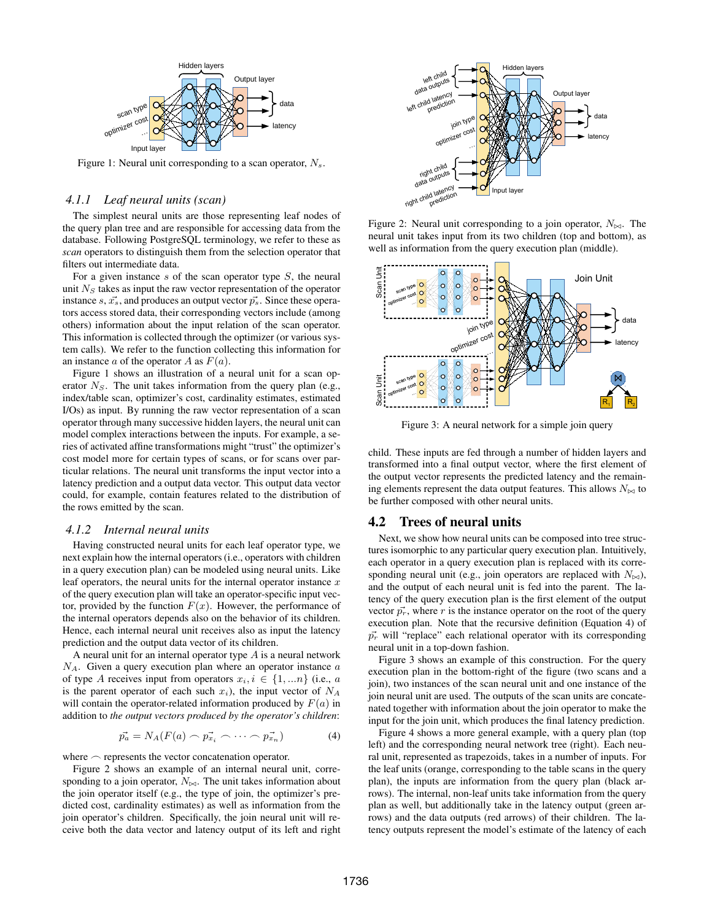

Figure 1: Neural unit corresponding to a scan operator,  $N_s$ .

#### *4.1.1 Leaf neural units (scan)*

The simplest neural units are those representing leaf nodes of the query plan tree and are responsible for accessing data from the database. Following PostgreSQL terminology, we refer to these as *scan* operators to distinguish them from the selection operator that filters out intermediate data.

For a given instance s of the scan operator type  $S$ , the neural unit  $N<sub>S</sub>$  takes as input the raw vector representation of the operator instance s,  $\vec{x_s}$ , and produces an output vector  $\vec{p_s}$ . Since these operators access stored data, their corresponding vectors include (among others) information about the input relation of the scan operator. This information is collected through the optimizer (or various system calls). We refer to the function collecting this information for an instance a of the operator A as  $F(a)$ .

Figure 1 shows an illustration of a neural unit for a scan operator  $N<sub>S</sub>$ . The unit takes information from the query plan (e.g., index/table scan, optimizer's cost, cardinality estimates, estimated I/Os) as input. By running the raw vector representation of a scan operator through many successive hidden layers, the neural unit can model complex interactions between the inputs. For example, a series of activated affine transformations might "trust" the optimizer's cost model more for certain types of scans, or for scans over particular relations. The neural unit transforms the input vector into a latency prediction and a output data vector. This output data vector could, for example, contain features related to the distribution of the rows emitted by the scan.

#### *4.1.2 Internal neural units*

Having constructed neural units for each leaf operator type, we next explain how the internal operators (i.e., operators with children in a query execution plan) can be modeled using neural units. Like leaf operators, the neural units for the internal operator instance  $x$ of the query execution plan will take an operator-specific input vector, provided by the function  $F(x)$ . However, the performance of the internal operators depends also on the behavior of its children. Hence, each internal neural unit receives also as input the latency prediction and the output data vector of its children.

A neural unit for an internal operator type  $A$  is a neural network  $N_A$ . Given a query execution plan where an operator instance  $a$ of type A receives input from operators  $x_i, i \in \{1, ...n\}$  (i.e., a is the parent operator of each such  $x_i$ ), the input vector of  $N_A$ will contain the operator-related information produced by  $F(a)$  in addition to *the output vectors produced by the operator's children*:

$$
\vec{p_a} = N_A(F(a) \frown \vec{p_{x_i}} \frown \cdots \frown \vec{p_{x_n}}) \tag{4}
$$

where  $\sim$  represents the vector concatenation operator.

Figure 2 shows an example of an internal neural unit, corresponding to a join operator,  $N_{\bowtie}$ . The unit takes information about the join operator itself (e.g., the type of join, the optimizer's predicted cost, cardinality estimates) as well as information from the join operator's children. Specifically, the join neural unit will receive both the data vector and latency output of its left and right



Figure 2: Neural unit corresponding to a join operator,  $N_{\bowtie}$ . The neural unit takes input from its two children (top and bottom), as well as information from the query execution plan (middle).



Figure 3: A neural network for a simple join query

child. These inputs are fed through a number of hidden layers and transformed into a final output vector, where the first element of the output vector represents the predicted latency and the remaining elements represent the data output features. This allows  $N_{\bowtie}$  to be further composed with other neural units.

## 4.2 Trees of neural units

Next, we show how neural units can be composed into tree structures isomorphic to any particular query execution plan. Intuitively, each operator in a query execution plan is replaced with its corresponding neural unit (e.g., join operators are replaced with  $N_{\bowtie}$ ), and the output of each neural unit is fed into the parent. The latency of the query execution plan is the first element of the output vector  $\vec{p}_r$ , where r is the instance operator on the root of the query execution plan. Note that the recursive definition (Equation 4) of  $\vec{p}_r$  will "replace" each relational operator with its corresponding neural unit in a top-down fashion.

Figure 3 shows an example of this construction. For the query execution plan in the bottom-right of the figure (two scans and a join), two instances of the scan neural unit and one instance of the join neural unit are used. The outputs of the scan units are concatenated together with information about the join operator to make the input for the join unit, which produces the final latency prediction.

Figure 4 shows a more general example, with a query plan (top left) and the corresponding neural network tree (right). Each neural unit, represented as trapezoids, takes in a number of inputs. For the leaf units (orange, corresponding to the table scans in the query plan), the inputs are information from the query plan (black arrows). The internal, non-leaf units take information from the query plan as well, but additionally take in the latency output (green arrows) and the data outputs (red arrows) of their children. The latency outputs represent the model's estimate of the latency of each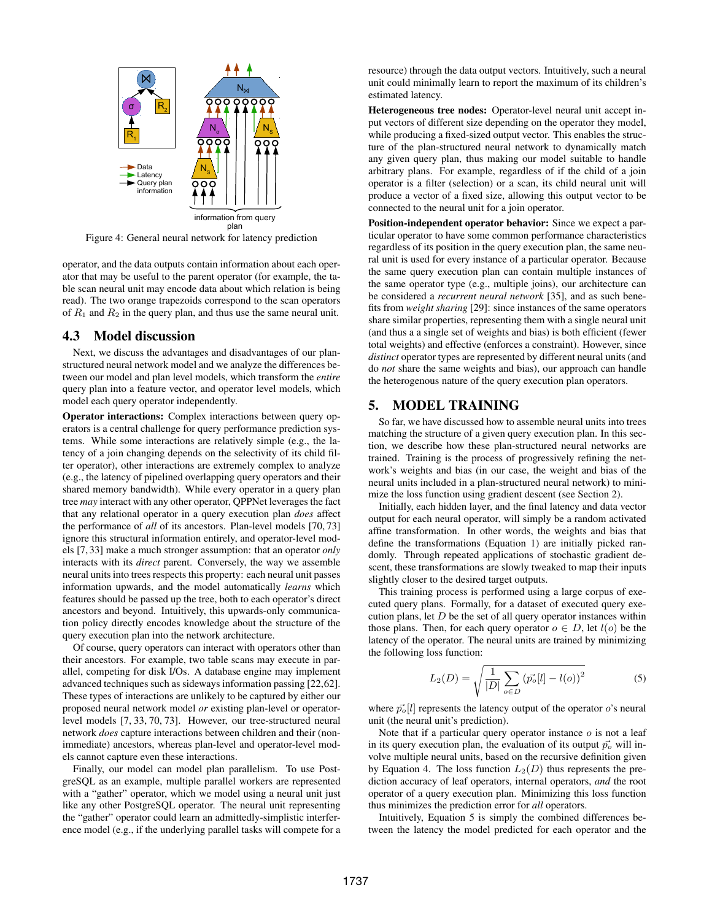

Figure 4: General neural network for latency prediction

operator, and the data outputs contain information about each operator that may be useful to the parent operator (for example, the table scan neural unit may encode data about which relation is being read). The two orange trapezoids correspond to the scan operators of  $R_1$  and  $R_2$  in the query plan, and thus use the same neural unit.

#### 4.3 Model discussion

Next, we discuss the advantages and disadvantages of our planstructured neural network model and we analyze the differences between our model and plan level models, which transform the *entire* query plan into a feature vector, and operator level models, which model each query operator independently.

Operator interactions: Complex interactions between query operators is a central challenge for query performance prediction systems. While some interactions are relatively simple (e.g., the latency of a join changing depends on the selectivity of its child filter operator), other interactions are extremely complex to analyze (e.g., the latency of pipelined overlapping query operators and their shared memory bandwidth). While every operator in a query plan tree *may* interact with any other operator, QPPNet leverages the fact that any relational operator in a query execution plan *does* affect the performance of *all* of its ancestors. Plan-level models [70, 73] ignore this structural information entirely, and operator-level models [7, 33] make a much stronger assumption: that an operator *only* interacts with its *direct* parent. Conversely, the way we assemble neural units into trees respects this property: each neural unit passes information upwards, and the model automatically *learns* which features should be passed up the tree, both to each operator's direct ancestors and beyond. Intuitively, this upwards-only communication policy directly encodes knowledge about the structure of the query execution plan into the network architecture.

Of course, query operators can interact with operators other than their ancestors. For example, two table scans may execute in parallel, competing for disk I/Os. A database engine may implement advanced techniques such as sideways information passing [22,62]. These types of interactions are unlikely to be captured by either our proposed neural network model *or* existing plan-level or operatorlevel models [7, 33, 70, 73]. However, our tree-structured neural network *does* capture interactions between children and their (nonimmediate) ancestors, whereas plan-level and operator-level models cannot capture even these interactions.

Finally, our model can model plan parallelism. To use PostgreSQL as an example, multiple parallel workers are represented with a "gather" operator, which we model using a neural unit just like any other PostgreSQL operator. The neural unit representing the "gather" operator could learn an admittedly-simplistic interference model (e.g., if the underlying parallel tasks will compete for a resource) through the data output vectors. Intuitively, such a neural unit could minimally learn to report the maximum of its children's estimated latency.

Heterogeneous tree nodes: Operator-level neural unit accept input vectors of different size depending on the operator they model, while producing a fixed-sized output vector. This enables the structure of the plan-structured neural network to dynamically match any given query plan, thus making our model suitable to handle arbitrary plans. For example, regardless of if the child of a join operator is a filter (selection) or a scan, its child neural unit will produce a vector of a fixed size, allowing this output vector to be connected to the neural unit for a join operator.

Position-independent operator behavior: Since we expect a particular operator to have some common performance characteristics regardless of its position in the query execution plan, the same neural unit is used for every instance of a particular operator. Because the same query execution plan can contain multiple instances of the same operator type (e.g., multiple joins), our architecture can be considered a *recurrent neural network* [35], and as such benefits from *weight sharing* [29]: since instances of the same operators share similar properties, representing them with a single neural unit (and thus a a single set of weights and bias) is both efficient (fewer total weights) and effective (enforces a constraint). However, since *distinct* operator types are represented by different neural units (and do *not* share the same weights and bias), our approach can handle the heterogenous nature of the query execution plan operators.

# 5. MODEL TRAINING

So far, we have discussed how to assemble neural units into trees matching the structure of a given query execution plan. In this section, we describe how these plan-structured neural networks are trained. Training is the process of progressively refining the network's weights and bias (in our case, the weight and bias of the neural units included in a plan-structured neural network) to minimize the loss function using gradient descent (see Section 2).

Initially, each hidden layer, and the final latency and data vector output for each neural operator, will simply be a random activated affine transformation. In other words, the weights and bias that define the transformations (Equation 1) are initially picked randomly. Through repeated applications of stochastic gradient descent, these transformations are slowly tweaked to map their inputs slightly closer to the desired target outputs.

This training process is performed using a large corpus of executed query plans. Formally, for a dataset of executed query execution plans, let  $D$  be the set of all query operator instances within those plans. Then, for each query operator  $o \in D$ , let  $l(o)$  be the latency of the operator. The neural units are trained by minimizing the following loss function:

$$
L_2(D) = \sqrt{\frac{1}{|D|} \sum_{o \in D} (p_o^2[l] - l(o))^2}
$$
 (5)

where  $\vec{p}_o[l]$  represents the latency output of the operator o's neural unit (the neural unit's prediction).

Note that if a particular query operator instance  $\sigma$  is not a leaf in its query execution plan, the evaluation of its output  $\vec{p}_o$  will involve multiple neural units, based on the recursive definition given by Equation 4. The loss function  $L_2(D)$  thus represents the prediction accuracy of leaf operators, internal operators, *and* the root operator of a query execution plan. Minimizing this loss function thus minimizes the prediction error for *all* operators.

Intuitively, Equation 5 is simply the combined differences between the latency the model predicted for each operator and the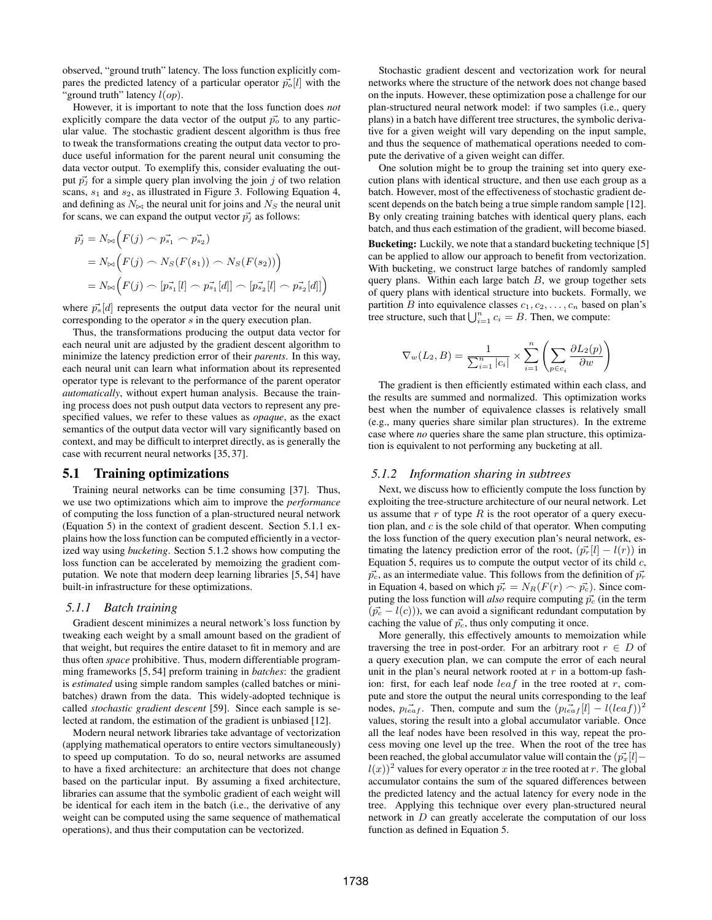observed, "ground truth" latency. The loss function explicitly compares the predicted latency of a particular operator  $\vec{p}_o[i]$  with the "ground truth" latency  $l(op)$ .

However, it is important to note that the loss function does *not* explicitly compare the data vector of the output  $\vec{p}_o$  to any particular value. The stochastic gradient descent algorithm is thus free to tweak the transformations creating the output data vector to produce useful information for the parent neural unit consuming the data vector output. To exemplify this, consider evaluating the output  $\vec{p}_i$  for a simple query plan involving the join j of two relation scans,  $s_1$  and  $s_2$ , as illustrated in Figure 3. Following Equation 4, and defining as  $N_{\bowtie}$  the neural unit for joins and  $N_S$  the neural unit for scans, we can expand the output vector  $\vec{p}_j$  as follows:

$$
\vec{p_j} = N_{\bowtie} \Big( F(j) \cap \vec{p_{s_1}} \cap \vec{p_{s_2}} \Big)
$$
  
=  $N_{\bowtie} \Big( F(j) \cap N_S(F(s_1)) \cap N_S(F(s_2)) \Big)$   
=  $N_{\bowtie} \Big( F(j) \cap [\vec{p_{s_1}}[l] \cap \vec{p_{s_1}}[d]] \cap [\vec{p_{s_2}}[l] \cap \vec{p_{s_2}}[d]] \Big)$ 

where  $\vec{p}_s[d]$  represents the output data vector for the neural unit corresponding to the operator s in the query execution plan.

Thus, the transformations producing the output data vector for each neural unit are adjusted by the gradient descent algorithm to minimize the latency prediction error of their *parents*. In this way, each neural unit can learn what information about its represented operator type is relevant to the performance of the parent operator *automatically*, without expert human analysis. Because the training process does not push output data vectors to represent any prespecified values, we refer to these values as *opaque*, as the exact semantics of the output data vector will vary significantly based on context, and may be difficult to interpret directly, as is generally the case with recurrent neural networks [35, 37].

#### 5.1 Training optimizations

Training neural networks can be time consuming [37]. Thus, we use two optimizations which aim to improve the *performance* of computing the loss function of a plan-structured neural network (Equation 5) in the context of gradient descent. Section 5.1.1 explains how the loss function can be computed efficiently in a vectorized way using *bucketing*. Section 5.1.2 shows how computing the loss function can be accelerated by memoizing the gradient computation. We note that modern deep learning libraries [5, 54] have built-in infrastructure for these optimizations.

## *5.1.1 Batch training*

Gradient descent minimizes a neural network's loss function by tweaking each weight by a small amount based on the gradient of that weight, but requires the entire dataset to fit in memory and are thus often *space* prohibitive. Thus, modern differentiable programming frameworks [5, 54] preform training in *batches*: the gradient is *estimated* using simple random samples (called batches or minibatches) drawn from the data. This widely-adopted technique is called *stochastic gradient descent* [59]. Since each sample is selected at random, the estimation of the gradient is unbiased [12].

Modern neural network libraries take advantage of vectorization (applying mathematical operators to entire vectors simultaneously) to speed up computation. To do so, neural networks are assumed to have a fixed architecture: an architecture that does not change based on the particular input. By assuming a fixed architecture, libraries can assume that the symbolic gradient of each weight will be identical for each item in the batch (i.e., the derivative of any weight can be computed using the same sequence of mathematical operations), and thus their computation can be vectorized.

Stochastic gradient descent and vectorization work for neural networks where the structure of the network does not change based on the inputs. However, these optimization pose a challenge for our plan-structured neural network model: if two samples (i.e., query plans) in a batch have different tree structures, the symbolic derivative for a given weight will vary depending on the input sample, and thus the sequence of mathematical operations needed to compute the derivative of a given weight can differ.

One solution might be to group the training set into query execution plans with identical structure, and then use each group as a batch. However, most of the effectiveness of stochastic gradient descent depends on the batch being a true simple random sample [12]. By only creating training batches with identical query plans, each batch, and thus each estimation of the gradient, will become biased.

Bucketing: Luckily, we note that a standard bucketing technique [5] can be applied to allow our approach to benefit from vectorization. With bucketing, we construct large batches of randomly sampled query plans. Within each large batch  $B$ , we group together sets of query plans with identical structure into buckets. Formally, we partition B into equivalence classes  $c_1, c_2, \ldots, c_n$  based on plan's tree structure, such that  $\bigcup_{i=1}^{n} c_i = B$ . Then, we compute:

$$
\nabla_{w}(L_2, B) = \frac{1}{\sum_{i=1}^n |c_i|} \times \sum_{i=1}^n \left( \sum_{p \in c_i} \frac{\partial L_2(p)}{\partial w} \right)
$$

The gradient is then efficiently estimated within each class, and the results are summed and normalized. This optimization works best when the number of equivalence classes is relatively small (e.g., many queries share similar plan structures). In the extreme case where *no* queries share the same plan structure, this optimization is equivalent to not performing any bucketing at all.

#### *5.1.2 Information sharing in subtrees*

Next, we discuss how to efficiently compute the loss function by exploiting the tree-structure architecture of our neural network. Let us assume that  $r$  of type  $R$  is the root operator of a query execution plan, and  $c$  is the sole child of that operator. When computing the loss function of the query execution plan's neural network, estimating the latency prediction error of the root,  $(\vec{p}_r[i] - l(r))$  in Equation 5, requires us to compute the output vector of its child  $c$ ,  $\vec{p}_c$ , as an intermediate value. This follows from the definition of  $\vec{p}_r$ in Equation 4, based on which  $\vec{p_r} = N_R(F(r) \frown \vec{p_c})$ . Since computing the loss function will *also* require computing  $\vec{p}_c$  (in the term  $(\vec{p}_c - l(c))$ , we can avoid a significant redundant computation by caching the value of  $\vec{p}_c$ , thus only computing it once.

More generally, this effectively amounts to memoization while traversing the tree in post-order. For an arbitrary root  $r \in D$  of a query execution plan, we can compute the error of each neural unit in the plan's neural network rooted at  $r$  in a bottom-up fashion: first, for each leaf node  $leaf$  in the tree rooted at r, compute and store the output the neural units corresponding to the leaf nodes,  $p_{\vec{leaf}}$ . Then, compute and sum the  $(p_{\vec{leaf}}[l] - l(\vec{leaf}))^2$ values, storing the result into a global accumulator variable. Once all the leaf nodes have been resolved in this way, repeat the process moving one level up the tree. When the root of the tree has been reached, the global accumulator value will contain the  $(\vec{p}_x[i]$ −  $l(x)$ <sup>2</sup> values for every operator x in the tree rooted at r. The global accumulator contains the sum of the squared differences between the predicted latency and the actual latency for every node in the tree. Applying this technique over every plan-structured neural network in D can greatly accelerate the computation of our loss function as defined in Equation 5.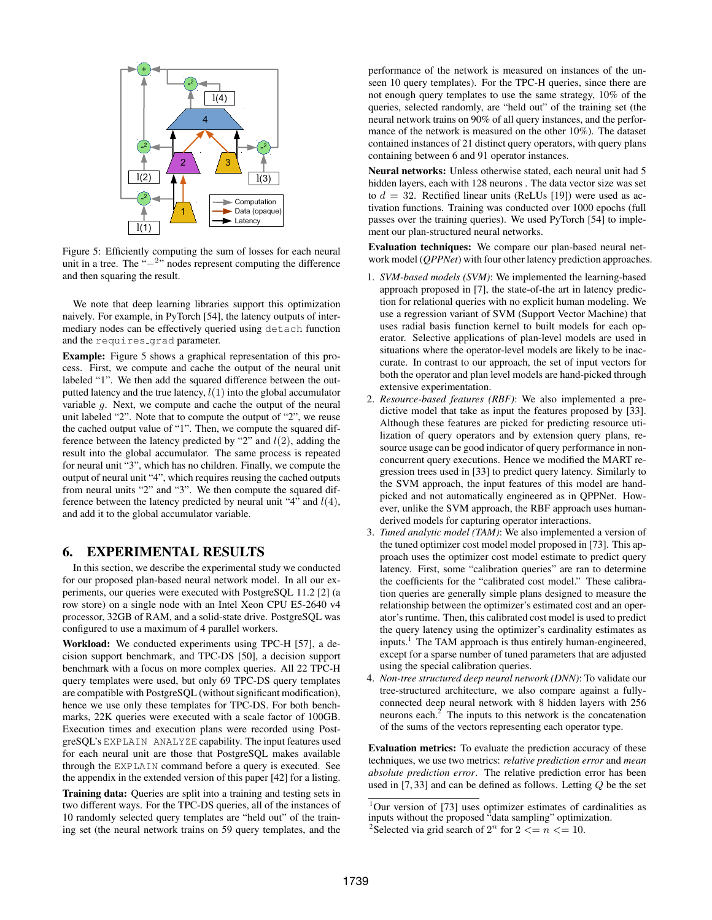

Figure 5: Efficiently computing the sum of losses for each neural unit in a tree. The " $-$ <sup>2</sup>" nodes represent computing the difference and then squaring the result.

We note that deep learning libraries support this optimization naively. For example, in PyTorch [54], the latency outputs of intermediary nodes can be effectively queried using detach function and the requires grad parameter.

Example: Figure 5 shows a graphical representation of this process. First, we compute and cache the output of the neural unit labeled "1". We then add the squared difference between the outputted latency and the true latency,  $l(1)$  into the global accumulator variable g. Next, we compute and cache the output of the neural unit labeled "2". Note that to compute the output of "2", we reuse the cached output value of "1". Then, we compute the squared difference between the latency predicted by "2" and  $l(2)$ , adding the result into the global accumulator. The same process is repeated for neural unit "3", which has no children. Finally, we compute the output of neural unit "4", which requires reusing the cached outputs from neural units "2" and "3". We then compute the squared difference between the latency predicted by neural unit "4" and  $l(4)$ , and add it to the global accumulator variable.

# 6. EXPERIMENTAL RESULTS

In this section, we describe the experimental study we conducted for our proposed plan-based neural network model. In all our experiments, our queries were executed with PostgreSQL 11.2 [2] (a row store) on a single node with an Intel Xeon CPU E5-2640 v4 processor, 32GB of RAM, and a solid-state drive. PostgreSQL was configured to use a maximum of 4 parallel workers.

Workload: We conducted experiments using TPC-H [57], a decision support benchmark, and TPC-DS [50], a decision support benchmark with a focus on more complex queries. All 22 TPC-H query templates were used, but only 69 TPC-DS query templates are compatible with PostgreSQL (without significant modification), hence we use only these templates for TPC-DS. For both benchmarks, 22K queries were executed with a scale factor of 100GB. Execution times and execution plans were recorded using PostgreSQL's EXPLAIN ANALYZE capability. The input features used for each neural unit are those that PostgreSQL makes available through the EXPLAIN command before a query is executed. See the appendix in the extended version of this paper [42] for a listing.

Training data: Queries are split into a training and testing sets in two different ways. For the TPC-DS queries, all of the instances of 10 randomly selected query templates are "held out" of the training set (the neural network trains on 59 query templates, and the performance of the network is measured on instances of the unseen 10 query templates). For the TPC-H queries, since there are not enough query templates to use the same strategy, 10% of the queries, selected randomly, are "held out" of the training set (the neural network trains on 90% of all query instances, and the performance of the network is measured on the other 10%). The dataset contained instances of 21 distinct query operators, with query plans containing between 6 and 91 operator instances.

Neural networks: Unless otherwise stated, each neural unit had 5 hidden layers, each with 128 neurons . The data vector size was set to  $d = 32$ . Rectified linear units (ReLUs [19]) were used as activation functions. Training was conducted over 1000 epochs (full passes over the training queries). We used PyTorch [54] to implement our plan-structured neural networks.

Evaluation techniques: We compare our plan-based neural network model (*QPPNet*) with four other latency prediction approaches.

- 1. *SVM-based models (SVM)*: We implemented the learning-based approach proposed in [7], the state-of-the art in latency prediction for relational queries with no explicit human modeling. We use a regression variant of SVM (Support Vector Machine) that uses radial basis function kernel to built models for each operator. Selective applications of plan-level models are used in situations where the operator-level models are likely to be inaccurate. In contrast to our approach, the set of input vectors for both the operator and plan level models are hand-picked through extensive experimentation.
- 2. *Resource-based features (RBF)*: We also implemented a predictive model that take as input the features proposed by [33]. Although these features are picked for predicting resource utilization of query operators and by extension query plans, resource usage can be good indicator of query performance in nonconcurrent query executions. Hence we modified the MART regression trees used in [33] to predict query latency. Similarly to the SVM approach, the input features of this model are handpicked and not automatically engineered as in QPPNet. However, unlike the SVM approach, the RBF approach uses humanderived models for capturing operator interactions.
- 3. *Tuned analytic model (TAM)*: We also implemented a version of the tuned optimizer cost model model proposed in [73]. This approach uses the optimizer cost model estimate to predict query latency. First, some "calibration queries" are ran to determine the coefficients for the "calibrated cost model." These calibration queries are generally simple plans designed to measure the relationship between the optimizer's estimated cost and an operator's runtime. Then, this calibrated cost model is used to predict the query latency using the optimizer's cardinality estimates as inputs.<sup>1</sup> The TAM approach is thus entirely human-engineered, except for a sparse number of tuned parameters that are adjusted using the special calibration queries.
- 4. *Non-tree structured deep neural network (DNN)*: To validate our tree-structured architecture, we also compare against a fullyconnected deep neural network with 8 hidden layers with 256 neurons each. $<sup>2</sup>$  The inputs to this network is the concatenation</sup> of the sums of the vectors representing each operator type.

Evaluation metrics: To evaluate the prediction accuracy of these techniques, we use two metrics: *relative prediction error* and *mean absolute prediction error*. The relative prediction error has been used in  $[7, 33]$  and can be defined as follows. Letting  $Q$  be the set

 $1$ Our version of [73] uses optimizer estimates of cardinalities as inputs without the proposed "data sampling" optimization.

<sup>&</sup>lt;sup>2</sup>Selected via grid search of  $2^n$  for  $2 \le n \le 10$ .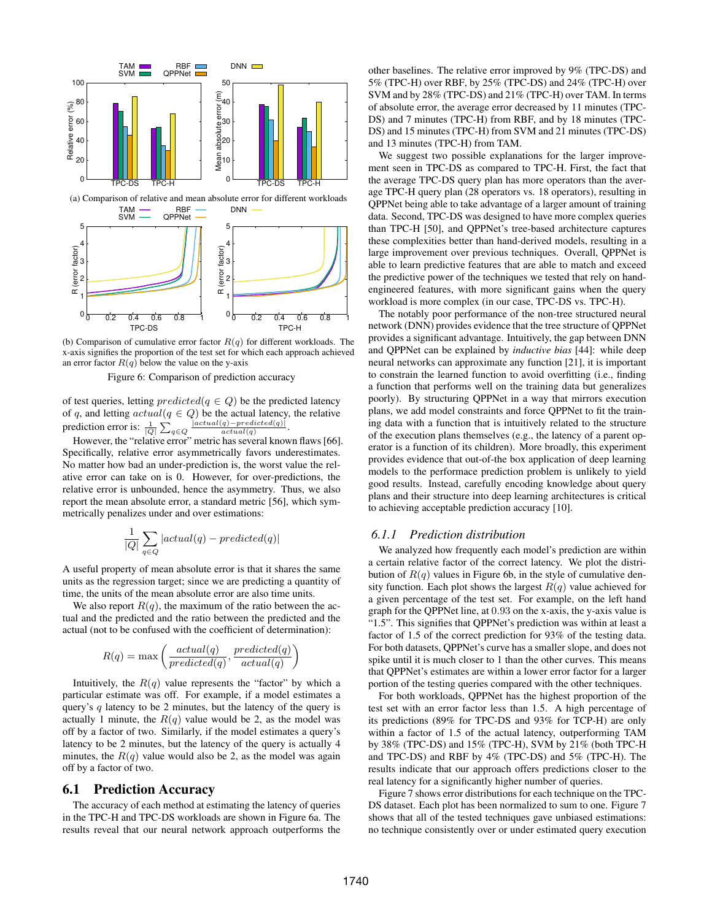

(b) Comparison of cumulative error factor  $R(q)$  for different workloads. The x-axis signifies the proportion of the test set for which each approach achieved an error factor  $R(q)$  below the value on the y-axis

Figure 6: Comparison of prediction accuracy

of test queries, letting  $predicted(q \in Q)$  be the predicted latency of q, and letting  $actual(q \in Q)$  be the actual latency, the relative prediction error is:  $\frac{1}{|Q|} \sum_{q \in Q} \frac{|actual(q) - predicted(q)|}{actual(q)}$ .

However, the "relative error" metric has several known flaws [66]. Specifically, relative error asymmetrically favors underestimates. No matter how bad an under-prediction is, the worst value the relative error can take on is 0. However, for over-predictions, the relative error is unbounded, hence the asymmetry. Thus, we also report the mean absolute error, a standard metric [56], which symmetrically penalizes under and over estimations:

$$
\frac{1}{|Q|}\sum_{q\in Q}|actual(q)-predicted(q)|
$$

A useful property of mean absolute error is that it shares the same units as the regression target; since we are predicting a quantity of time, the units of the mean absolute error are also time units.

We also report  $R(q)$ , the maximum of the ratio between the actual and the predicted and the ratio between the predicted and the actual (not to be confused with the coefficient of determination):

$$
R(q) = \max\left(\frac{actual(q)}{predicted(q)}, \frac{predicted(q)}{actual(q)}\right)
$$

Intuitively, the  $R(q)$  value represents the "factor" by which a particular estimate was off. For example, if a model estimates a query's  $q$  latency to be 2 minutes, but the latency of the query is actually 1 minute, the  $R(q)$  value would be 2, as the model was off by a factor of two. Similarly, if the model estimates a query's latency to be 2 minutes, but the latency of the query is actually 4 minutes, the  $R(q)$  value would also be 2, as the model was again off by a factor of two.

# 6.1 Prediction Accuracy

The accuracy of each method at estimating the latency of queries in the TPC-H and TPC-DS workloads are shown in Figure 6a. The results reveal that our neural network approach outperforms the

other baselines. The relative error improved by 9% (TPC-DS) and 5% (TPC-H) over RBF, by 25% (TPC-DS) and 24% (TPC-H) over SVM and by 28% (TPC-DS) and 21% (TPC-H) over TAM. In terms of absolute error, the average error decreased by 11 minutes (TPC-DS) and 7 minutes (TPC-H) from RBF, and by 18 minutes (TPC-DS) and 15 minutes (TPC-H) from SVM and 21 minutes (TPC-DS) and 13 minutes (TPC-H) from TAM.

We suggest two possible explanations for the larger improvement seen in TPC-DS as compared to TPC-H. First, the fact that the average TPC-DS query plan has more operators than the average TPC-H query plan (28 operators vs. 18 operators), resulting in QPPNet being able to take advantage of a larger amount of training data. Second, TPC-DS was designed to have more complex queries than TPC-H [50], and QPPNet's tree-based architecture captures these complexities better than hand-derived models, resulting in a large improvement over previous techniques. Overall, QPPNet is able to learn predictive features that are able to match and exceed the predictive power of the techniques we tested that rely on handengineered features, with more significant gains when the query workload is more complex (in our case, TPC-DS vs. TPC-H).

The notably poor performance of the non-tree structured neural network (DNN) provides evidence that the tree structure of QPPNet provides a significant advantage. Intuitively, the gap between DNN and QPPNet can be explained by *inductive bias* [44]: while deep neural networks can approximate any function [21], it is important to constrain the learned function to avoid overfitting (i.e., finding a function that performs well on the training data but generalizes poorly). By structuring QPPNet in a way that mirrors execution plans, we add model constraints and force QPPNet to fit the training data with a function that is intuitively related to the structure of the execution plans themselves (e.g., the latency of a parent operator is a function of its children). More broadly, this experiment provides evidence that out-of-the box application of deep learning models to the performace prediction problem is unlikely to yield good results. Instead, carefully encoding knowledge about query plans and their structure into deep learning architectures is critical to achieving acceptable prediction accuracy [10].

## *6.1.1 Prediction distribution*

We analyzed how frequently each model's prediction are within a certain relative factor of the correct latency. We plot the distribution of  $R(q)$  values in Figure 6b, in the style of cumulative density function. Each plot shows the largest  $R(q)$  value achieved for a given percentage of the test set. For example, on the left hand graph for the QPPNet line, at 0.93 on the x-axis, the y-axis value is "1.5". This signifies that QPPNet's prediction was within at least a factor of 1.5 of the correct prediction for 93% of the testing data. For both datasets, QPPNet's curve has a smaller slope, and does not spike until it is much closer to 1 than the other curves. This means that QPPNet's estimates are within a lower error factor for a larger portion of the testing queries compared with the other techniques.

For both workloads, QPPNet has the highest proportion of the test set with an error factor less than 1.5. A high percentage of its predictions (89% for TPC-DS and 93% for TCP-H) are only within a factor of 1.5 of the actual latency, outperforming TAM by 38% (TPC-DS) and 15% (TPC-H), SVM by 21% (both TPC-H and TPC-DS) and RBF by 4% (TPC-DS) and 5% (TPC-H). The results indicate that our approach offers predictions closer to the real latency for a significantly higher number of queries.

Figure 7 shows error distributions for each technique on the TPC-DS dataset. Each plot has been normalized to sum to one. Figure 7 shows that all of the tested techniques gave unbiased estimations: no technique consistently over or under estimated query execution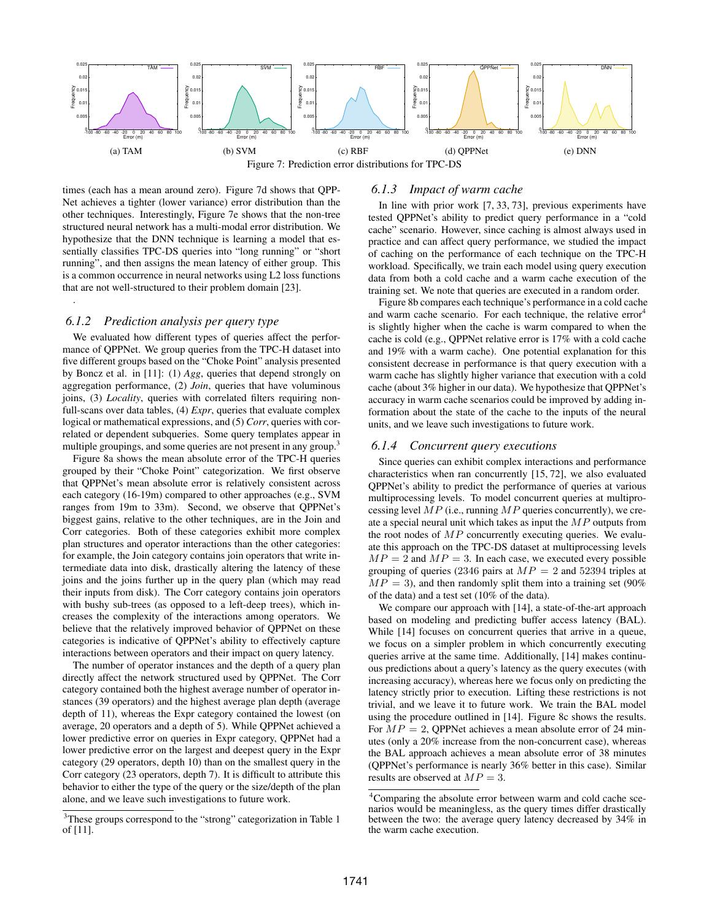

times (each has a mean around zero). Figure 7d shows that QPP-Net achieves a tighter (lower variance) error distribution than the other techniques. Interestingly, Figure 7e shows that the non-tree structured neural network has a multi-modal error distribution. We hypothesize that the DNN technique is learning a model that essentially classifies TPC-DS queries into "long running" or "short running", and then assigns the mean latency of either group. This is a common occurrence in neural networks using L2 loss functions that are not well-structured to their problem domain [23].

## *6.1.2 Prediction analysis per query type*

.

We evaluated how different types of queries affect the performance of QPPNet. We group queries from the TPC-H dataset into five different groups based on the "Choke Point" analysis presented by Boncz et al. in [11]: (1) *Agg*, queries that depend strongly on aggregation performance, (2) *Join*, queries that have voluminous joins, (3) *Locality*, queries with correlated filters requiring nonfull-scans over data tables, (4) *Expr*, queries that evaluate complex logical or mathematical expressions, and (5) *Corr*, queries with correlated or dependent subqueries. Some query templates appear in multiple groupings, and some queries are not present in any group.<sup>3</sup>

Figure 8a shows the mean absolute error of the TPC-H queries grouped by their "Choke Point" categorization. We first observe that QPPNet's mean absolute error is relatively consistent across each category (16-19m) compared to other approaches (e.g., SVM ranges from 19m to 33m). Second, we observe that QPPNet's biggest gains, relative to the other techniques, are in the Join and Corr categories. Both of these categories exhibit more complex plan structures and operator interactions than the other categories: for example, the Join category contains join operators that write intermediate data into disk, drastically altering the latency of these joins and the joins further up in the query plan (which may read their inputs from disk). The Corr category contains join operators with bushy sub-trees (as opposed to a left-deep trees), which increases the complexity of the interactions among operators. We believe that the relatively improved behavior of QPPNet on these categories is indicative of QPPNet's ability to effectively capture interactions between operators and their impact on query latency.

The number of operator instances and the depth of a query plan directly affect the network structured used by QPPNet. The Corr category contained both the highest average number of operator instances (39 operators) and the highest average plan depth (average depth of 11), whereas the Expr category contained the lowest (on average, 20 operators and a depth of 5). While QPPNet achieved a lower predictive error on queries in Expr category, QPPNet had a lower predictive error on the largest and deepest query in the Expr category (29 operators, depth 10) than on the smallest query in the Corr category (23 operators, depth 7). It is difficult to attribute this behavior to either the type of the query or the size/depth of the plan alone, and we leave such investigations to future work.

#### *6.1.3 Impact of warm cache*

In line with prior work [7, 33, 73], previous experiments have tested QPPNet's ability to predict query performance in a "cold cache" scenario. However, since caching is almost always used in practice and can affect query performance, we studied the impact of caching on the performance of each technique on the TPC-H workload. Specifically, we train each model using query execution data from both a cold cache and a warm cache execution of the training set. We note that queries are executed in a random order.

Figure 8b compares each technique's performance in a cold cache and warm cache scenario. For each technique, the relative  $error<sup>4</sup>$ is slightly higher when the cache is warm compared to when the cache is cold (e.g., QPPNet relative error is 17% with a cold cache and 19% with a warm cache). One potential explanation for this consistent decrease in performance is that query execution with a warm cache has slightly higher variance that execution with a cold cache (about 3% higher in our data). We hypothesize that QPPNet's accuracy in warm cache scenarios could be improved by adding information about the state of the cache to the inputs of the neural units, and we leave such investigations to future work.

#### *6.1.4 Concurrent query executions*

Since queries can exhibit complex interactions and performance characteristics when ran concurrently [15, 72], we also evaluated QPPNet's ability to predict the performance of queries at various multiprocessing levels. To model concurrent queries at multiprocessing level  $MP$  (i.e., running  $MP$  queries concurrently), we create a special neural unit which takes as input the MP outputs from the root nodes of  $MP$  concurrently executing queries. We evaluate this approach on the TPC-DS dataset at multiprocessing levels  $MP = 2$  and  $MP = 3$ . In each case, we executed every possible grouping of queries (2346 pairs at  $MP = 2$  and 52394 triples at  $MP = 3$ ), and then randomly split them into a training set (90%) of the data) and a test set (10% of the data).

We compare our approach with [14], a state-of-the-art approach based on modeling and predicting buffer access latency (BAL). While [14] focuses on concurrent queries that arrive in a queue, we focus on a simpler problem in which concurrently executing queries arrive at the same time. Additionally, [14] makes continuous predictions about a query's latency as the query executes (with increasing accuracy), whereas here we focus only on predicting the latency strictly prior to execution. Lifting these restrictions is not trivial, and we leave it to future work. We train the BAL model using the procedure outlined in [14]. Figure 8c shows the results. For  $MP = 2$ , QPPNet achieves a mean absolute error of 24 minutes (only a 20% increase from the non-concurrent case), whereas the BAL approach achieves a mean absolute error of 38 minutes (QPPNet's performance is nearly 36% better in this case). Similar results are observed at  $MP = 3$ .

<sup>&</sup>lt;sup>3</sup>These groups correspond to the "strong" categorization in Table 1 of [11].

<sup>4</sup>Comparing the absolute error between warm and cold cache scenarios would be meaningless, as the query times differ drastically between the two: the average query latency decreased by 34% in the warm cache execution.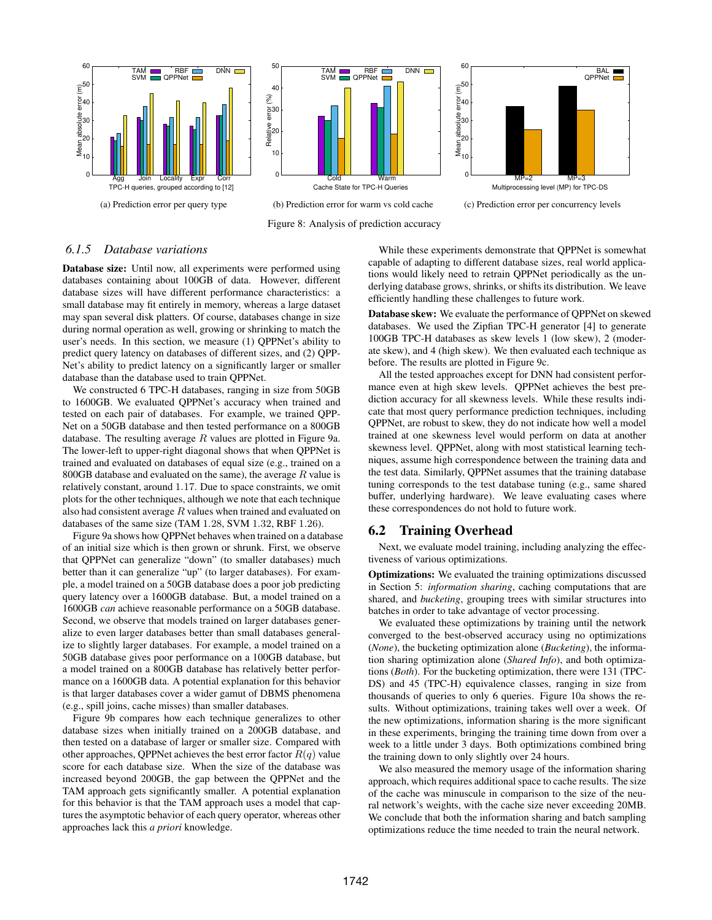

# *6.1.5 Database variations*

Database size: Until now, all experiments were performed using databases containing about 100GB of data. However, different database sizes will have different performance characteristics: a small database may fit entirely in memory, whereas a large dataset may span several disk platters. Of course, databases change in size during normal operation as well, growing or shrinking to match the user's needs. In this section, we measure (1) QPPNet's ability to predict query latency on databases of different sizes, and (2) QPP-Net's ability to predict latency on a significantly larger or smaller database than the database used to train QPPNet.

We constructed 6 TPC-H databases, ranging in size from 50GB to 1600GB. We evaluated QPPNet's accuracy when trained and tested on each pair of databases. For example, we trained QPP-Net on a 50GB database and then tested performance on a 800GB database. The resulting average  $R$  values are plotted in Figure 9a. The lower-left to upper-right diagonal shows that when QPPNet is trained and evaluated on databases of equal size (e.g., trained on a 800GB database and evaluated on the same), the average  $R$  value is relatively constant, around 1.17. Due to space constraints, we omit plots for the other techniques, although we note that each technique also had consistent average  $R$  values when trained and evaluated on databases of the same size (TAM 1.28, SVM 1.32, RBF 1.26).

Figure 9a shows how QPPNet behaves when trained on a database of an initial size which is then grown or shrunk. First, we observe that QPPNet can generalize "down" (to smaller databases) much better than it can generalize "up" (to larger databases). For example, a model trained on a 50GB database does a poor job predicting query latency over a 1600GB database. But, a model trained on a 1600GB *can* achieve reasonable performance on a 50GB database. Second, we observe that models trained on larger databases generalize to even larger databases better than small databases generalize to slightly larger databases. For example, a model trained on a 50GB database gives poor performance on a 100GB database, but a model trained on a 800GB database has relatively better performance on a 1600GB data. A potential explanation for this behavior is that larger databases cover a wider gamut of DBMS phenomena (e.g., spill joins, cache misses) than smaller databases.

Figure 9b compares how each technique generalizes to other database sizes when initially trained on a 200GB database, and then tested on a database of larger or smaller size. Compared with other approaches, QPPNet achieves the best error factor  $R(q)$  value score for each database size. When the size of the database was increased beyond 200GB, the gap between the QPPNet and the TAM approach gets significantly smaller. A potential explanation for this behavior is that the TAM approach uses a model that captures the asymptotic behavior of each query operator, whereas other approaches lack this *a priori* knowledge.

While these experiments demonstrate that QPPNet is somewhat capable of adapting to different database sizes, real world applications would likely need to retrain QPPNet periodically as the underlying database grows, shrinks, or shifts its distribution. We leave efficiently handling these challenges to future work.

Database skew: We evaluate the performance of QPPNet on skewed databases. We used the Zipfian TPC-H generator [4] to generate 100GB TPC-H databases as skew levels 1 (low skew), 2 (moderate skew), and 4 (high skew). We then evaluated each technique as before. The results are plotted in Figure 9c.

All the tested approaches except for DNN had consistent performance even at high skew levels. QPPNet achieves the best prediction accuracy for all skewness levels. While these results indicate that most query performance prediction techniques, including QPPNet, are robust to skew, they do not indicate how well a model trained at one skewness level would perform on data at another skewness level. QPPNet, along with most statistical learning techniques, assume high correspondence between the training data and the test data. Similarly, QPPNet assumes that the training database tuning corresponds to the test database tuning (e.g., same shared buffer, underlying hardware). We leave evaluating cases where these correspondences do not hold to future work.

## 6.2 Training Overhead

Next, we evaluate model training, including analyzing the effectiveness of various optimizations.

Optimizations: We evaluated the training optimizations discussed in Section 5: *information sharing*, caching computations that are shared, and *bucketing*, grouping trees with similar structures into batches in order to take advantage of vector processing.

We evaluated these optimizations by training until the network converged to the best-observed accuracy using no optimizations (*None*), the bucketing optimization alone (*Bucketing*), the information sharing optimization alone (*Shared Info*), and both optimizations (*Both*). For the bucketing optimization, there were 131 (TPC-DS) and 45 (TPC-H) equivalence classes, ranging in size from thousands of queries to only 6 queries. Figure 10a shows the results. Without optimizations, training takes well over a week. Of the new optimizations, information sharing is the more significant in these experiments, bringing the training time down from over a week to a little under 3 days. Both optimizations combined bring the training down to only slightly over 24 hours.

We also measured the memory usage of the information sharing approach, which requires additional space to cache results. The size of the cache was minuscule in comparison to the size of the neural network's weights, with the cache size never exceeding 20MB. We conclude that both the information sharing and batch sampling optimizations reduce the time needed to train the neural network.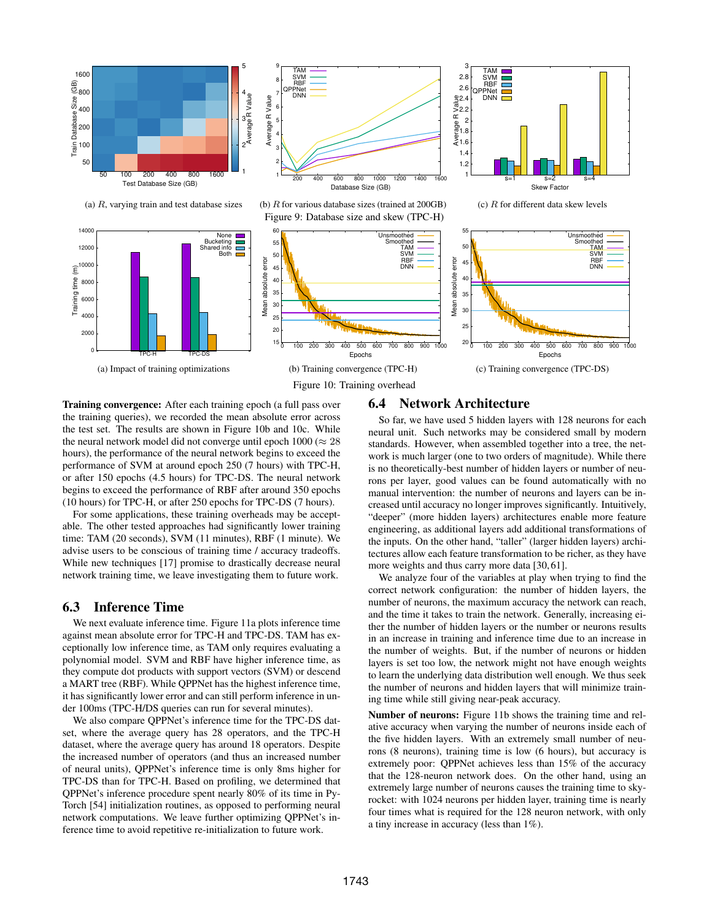

Training convergence: After each training epoch (a full pass over the training queries), we recorded the mean absolute error across the test set. The results are shown in Figure 10b and 10c. While the neural network model did not converge until epoch  $1000 \approx 28$ hours), the performance of the neural network begins to exceed the performance of SVM at around epoch 250 (7 hours) with TPC-H, or after 150 epochs (4.5 hours) for TPC-DS. The neural network begins to exceed the performance of RBF after around 350 epochs (10 hours) for TPC-H, or after 250 epochs for TPC-DS (7 hours).

For some applications, these training overheads may be acceptable. The other tested approaches had significantly lower training time: TAM (20 seconds), SVM (11 minutes), RBF (1 minute). We advise users to be conscious of training time / accuracy tradeoffs. While new techniques [17] promise to drastically decrease neural network training time, we leave investigating them to future work.

## 6.3 Inference Time

We next evaluate inference time. Figure 11a plots inference time against mean absolute error for TPC-H and TPC-DS. TAM has exceptionally low inference time, as TAM only requires evaluating a polynomial model. SVM and RBF have higher inference time, as they compute dot products with support vectors (SVM) or descend a MART tree (RBF). While QPPNet has the highest inference time, it has significantly lower error and can still perform inference in under 100ms (TPC-H/DS queries can run for several minutes).

We also compare QPPNet's inference time for the TPC-DS datset, where the average query has 28 operators, and the TPC-H dataset, where the average query has around 18 operators. Despite the increased number of operators (and thus an increased number of neural units), QPPNet's inference time is only 8ms higher for TPC-DS than for TPC-H. Based on profiling, we determined that QPPNet's inference procedure spent nearly 80% of its time in Py-Torch [54] initialization routines, as opposed to performing neural network computations. We leave further optimizing QPPNet's inference time to avoid repetitive re-initialization to future work.

## 6.4 Network Architecture

So far, we have used 5 hidden layers with 128 neurons for each neural unit. Such networks may be considered small by modern standards. However, when assembled together into a tree, the network is much larger (one to two orders of magnitude). While there is no theoretically-best number of hidden layers or number of neurons per layer, good values can be found automatically with no manual intervention: the number of neurons and layers can be increased until accuracy no longer improves significantly. Intuitively, "deeper" (more hidden layers) architectures enable more feature engineering, as additional layers add additional transformations of the inputs. On the other hand, "taller" (larger hidden layers) architectures allow each feature transformation to be richer, as they have more weights and thus carry more data [30, 61].

We analyze four of the variables at play when trying to find the correct network configuration: the number of hidden layers, the number of neurons, the maximum accuracy the network can reach, and the time it takes to train the network. Generally, increasing either the number of hidden layers or the number or neurons results in an increase in training and inference time due to an increase in the number of weights. But, if the number of neurons or hidden layers is set too low, the network might not have enough weights to learn the underlying data distribution well enough. We thus seek the number of neurons and hidden layers that will minimize training time while still giving near-peak accuracy.

Number of neurons: Figure 11b shows the training time and relative accuracy when varying the number of neurons inside each of the five hidden layers. With an extremely small number of neurons (8 neurons), training time is low (6 hours), but accuracy is extremely poor: QPPNet achieves less than 15% of the accuracy that the 128-neuron network does. On the other hand, using an extremely large number of neurons causes the training time to skyrocket: with 1024 neurons per hidden layer, training time is nearly four times what is required for the 128 neuron network, with only a tiny increase in accuracy (less than 1%).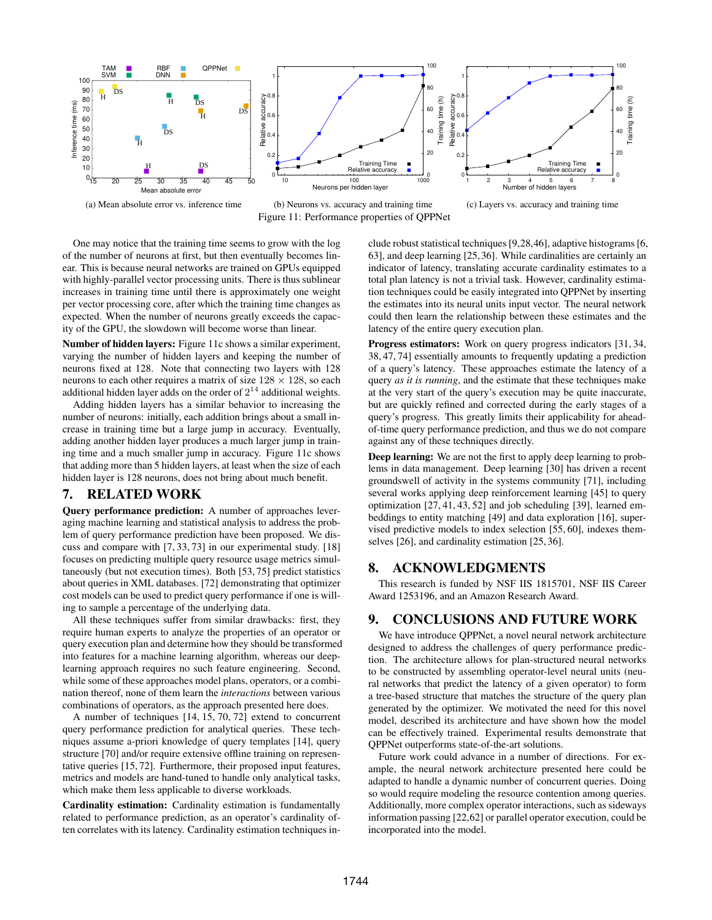

Figure 11: Performance properties of QPPNet

(c) Layers vs. accuracy and training time

One may notice that the training time seems to grow with the log of the number of neurons at first, but then eventually becomes linear. This is because neural networks are trained on GPUs equipped with highly-parallel vector processing units. There is thus sublinear increases in training time until there is approximately one weight per vector processing core, after which the training time changes as expected. When the number of neurons greatly exceeds the capacity of the GPU, the slowdown will become worse than linear.

Number of hidden layers: Figure 11c shows a similar experiment, varying the number of hidden layers and keeping the number of neurons fixed at 128. Note that connecting two layers with 128 neurons to each other requires a matrix of size  $128 \times 128$ , so each additional hidden layer adds on the order of  $2^{14}$  additional weights.

Adding hidden layers has a similar behavior to increasing the number of neurons: initially, each addition brings about a small increase in training time but a large jump in accuracy. Eventually, adding another hidden layer produces a much larger jump in training time and a much smaller jump in accuracy. Figure 11c shows that adding more than 5 hidden layers, at least when the size of each hidden layer is 128 neurons, does not bring about much benefit.

# 7. RELATED WORK

Query performance prediction: A number of approaches leveraging machine learning and statistical analysis to address the problem of query performance prediction have been proposed. We discuss and compare with [7, 33, 73] in our experimental study. [18] focuses on predicting multiple query resource usage metrics simultaneously (but not execution times). Both [53, 75] predict statistics about queries in XML databases. [72] demonstrating that optimizer cost models can be used to predict query performance if one is willing to sample a percentage of the underlying data.

All these techniques suffer from similar drawbacks: first, they require human experts to analyze the properties of an operator or query execution plan and determine how they should be transformed into features for a machine learning algorithm, whereas our deeplearning approach requires no such feature engineering. Second, while some of these approaches model plans, operators, or a combination thereof, none of them learn the *interactions* between various combinations of operators, as the approach presented here does.

A number of techniques [14, 15, 70, 72] extend to concurrent query performance prediction for analytical queries. These techniques assume a-priori knowledge of query templates [14], query structure [70] and/or require extensive offline training on representative queries [15, 72]. Furthermore, their proposed input features, metrics and models are hand-tuned to handle only analytical tasks, which make them less applicable to diverse workloads.

Cardinality estimation: Cardinality estimation is fundamentally related to performance prediction, as an operator's cardinality often correlates with its latency. Cardinality estimation techniques include robust statistical techniques [9,28,46], adaptive histograms [6, 63], and deep learning [25, 36]. While cardinalities are certainly an indicator of latency, translating accurate cardinality estimates to a total plan latency is not a trivial task. However, cardinality estimation techniques could be easily integrated into QPPNet by inserting the estimates into its neural units input vector. The neural network could then learn the relationship between these estimates and the latency of the entire query execution plan.

Progress estimators: Work on query progress indicators [31, 34, 38, 47, 74] essentially amounts to frequently updating a prediction of a query's latency. These approaches estimate the latency of a query *as it is running*, and the estimate that these techniques make at the very start of the query's execution may be quite inaccurate, but are quickly refined and corrected during the early stages of a query's progress. This greatly limits their applicability for aheadof-time query performance prediction, and thus we do not compare against any of these techniques directly.

Deep learning: We are not the first to apply deep learning to problems in data management. Deep learning [30] has driven a recent groundswell of activity in the systems community [71], including several works applying deep reinforcement learning [45] to query optimization [27, 41, 43, 52] and job scheduling [39], learned embeddings to entity matching [49] and data exploration [16], supervised predictive models to index selection [55, 60], indexes themselves [26], and cardinality estimation [25, 36].

# 8. ACKNOWLEDGMENTS

This research is funded by NSF IIS 1815701, NSF IIS Career Award 1253196, and an Amazon Research Award.

## 9. CONCLUSIONS AND FUTURE WORK

We have introduce OPPNet, a novel neural network architecture designed to address the challenges of query performance prediction. The architecture allows for plan-structured neural networks to be constructed by assembling operator-level neural units (neural networks that predict the latency of a given operator) to form a tree-based structure that matches the structure of the query plan generated by the optimizer. We motivated the need for this novel model, described its architecture and have shown how the model can be effectively trained. Experimental results demonstrate that QPPNet outperforms state-of-the-art solutions.

Future work could advance in a number of directions. For example, the neural network architecture presented here could be adapted to handle a dynamic number of concurrent queries. Doing so would require modeling the resource contention among queries. Additionally, more complex operator interactions, such as sideways information passing [22,62] or parallel operator execution, could be incorporated into the model.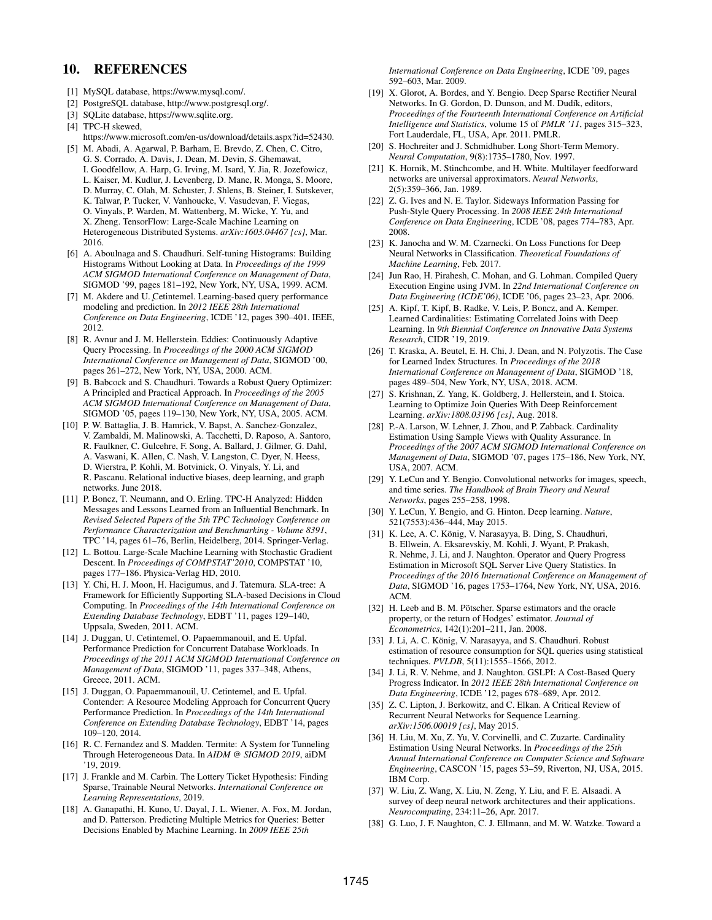# 10. REFERENCES

- [1] MySQL database, https://www.mysql.com/.
- [2] PostgreSQL database, http://www.postgresql.org/.
- [3] SQLite database, https://www.sqlite.org.
- [4] TPC-H skewed,
- https://www.microsoft.com/en-us/download/details.aspx?id=52430. [5] M. Abadi, A. Agarwal, P. Barham, E. Brevdo, Z. Chen, C. Citro,
- G. S. Corrado, A. Davis, J. Dean, M. Devin, S. Ghemawat, I. Goodfellow, A. Harp, G. Irving, M. Isard, Y. Jia, R. Jozefowicz, L. Kaiser, M. Kudlur, J. Levenberg, D. Mane, R. Monga, S. Moore, D. Murray, C. Olah, M. Schuster, J. Shlens, B. Steiner, I. Sutskever, K. Talwar, P. Tucker, V. Vanhoucke, V. Vasudevan, F. Viegas, O. Vinyals, P. Warden, M. Wattenberg, M. Wicke, Y. Yu, and X. Zheng. TensorFlow: Large-Scale Machine Learning on Heterogeneous Distributed Systems. *arXiv:1603.04467 [cs]*, Mar. 2016.
- [6] A. Aboulnaga and S. Chaudhuri. Self-tuning Histograms: Building Histograms Without Looking at Data. In *Proceedings of the 1999 ACM SIGMOD International Conference on Management of Data*, SIGMOD '99, pages 181–192, New York, NY, USA, 1999. ACM.
- [7] M. Akdere and U. Cetintemel. Learning-based query performance modeling and prediction. In *2012 IEEE 28th International Conference on Data Engineering*, ICDE '12, pages 390–401. IEEE, 2012.
- [8] R. Avnur and J. M. Hellerstein. Eddies: Continuously Adaptive Query Processing. In *Proceedings of the 2000 ACM SIGMOD International Conference on Management of Data*, SIGMOD '00, pages 261–272, New York, NY, USA, 2000. ACM.
- [9] B. Babcock and S. Chaudhuri. Towards a Robust Query Optimizer: A Principled and Practical Approach. In *Proceedings of the 2005 ACM SIGMOD International Conference on Management of Data*, SIGMOD '05, pages 119–130, New York, NY, USA, 2005. ACM.
- [10] P. W. Battaglia, J. B. Hamrick, V. Bapst, A. Sanchez-Gonzalez, V. Zambaldi, M. Malinowski, A. Tacchetti, D. Raposo, A. Santoro, R. Faulkner, C. Gulcehre, F. Song, A. Ballard, J. Gilmer, G. Dahl, A. Vaswani, K. Allen, C. Nash, V. Langston, C. Dyer, N. Heess, D. Wierstra, P. Kohli, M. Botvinick, O. Vinyals, Y. Li, and R. Pascanu. Relational inductive biases, deep learning, and graph networks. June 2018.
- [11] P. Boncz, T. Neumann, and O. Erling. TPC-H Analyzed: Hidden Messages and Lessons Learned from an Influential Benchmark. In *Revised Selected Papers of the 5th TPC Technology Conference on Performance Characterization and Benchmarking - Volume 8391*, TPC '14, pages 61–76, Berlin, Heidelberg, 2014. Springer-Verlag.
- [12] L. Bottou. Large-Scale Machine Learning with Stochastic Gradient Descent. In *Proceedings of COMPSTAT'2010*, COMPSTAT '10, pages 177–186. Physica-Verlag HD, 2010.
- [13] Y. Chi, H. J. Moon, H. Hacigumus, and J. Tatemura. SLA-tree: A Framework for Efficiently Supporting SLA-based Decisions in Cloud Computing. In *Proceedings of the 14th International Conference on Extending Database Technology*, EDBT '11, pages 129–140, Uppsala, Sweden, 2011. ACM.
- [14] J. Duggan, U. Cetintemel, O. Papaemmanouil, and E. Upfal. Performance Prediction for Concurrent Database Workloads. In *Proceedings of the 2011 ACM SIGMOD International Conference on Management of Data*, SIGMOD '11, pages 337–348, Athens, Greece, 2011. ACM.
- [15] J. Duggan, O. Papaemmanouil, U. Cetintemel, and E. Upfal. Contender: A Resource Modeling Approach for Concurrent Query Performance Prediction. In *Proceedings of the 14th International Conference on Extending Database Technology*, EDBT '14, pages 109–120, 2014.
- [16] R. C. Fernandez and S. Madden. Termite: A System for Tunneling Through Heterogeneous Data. In *AIDM @ SIGMOD 2019*, aiDM '19, 2019.
- [17] J. Frankle and M. Carbin. The Lottery Ticket Hypothesis: Finding Sparse, Trainable Neural Networks. *International Conference on Learning Representations*, 2019.
- [18] A. Ganapathi, H. Kuno, U. Dayal, J. L. Wiener, A. Fox, M. Jordan, and D. Patterson. Predicting Multiple Metrics for Queries: Better Decisions Enabled by Machine Learning. In *2009 IEEE 25th*

*International Conference on Data Engineering*, ICDE '09, pages 592–603, Mar. 2009.

- [19] X. Glorot, A. Bordes, and Y. Bengio. Deep Sparse Rectifier Neural Networks. In G. Gordon, D. Dunson, and M. Dudík, editors, *Proceedings of the Fourteenth International Conference on Artificial Intelligence and Statistics*, volume 15 of *PMLR '11*, pages 315–323, Fort Lauderdale, FL, USA, Apr. 2011. PMLR.
- [20] S. Hochreiter and J. Schmidhuber. Long Short-Term Memory. *Neural Computation*, 9(8):1735–1780, Nov. 1997.
- [21] K. Hornik, M. Stinchcombe, and H. White. Multilayer feedforward networks are universal approximators. *Neural Networks*, 2(5):359–366, Jan. 1989.
- [22] Z. G. Ives and N. E. Taylor. Sideways Information Passing for Push-Style Query Processing. In *2008 IEEE 24th International Conference on Data Engineering*, ICDE '08, pages 774–783, Apr. 2008.
- [23] K. Janocha and W. M. Czarnecki. On Loss Functions for Deep Neural Networks in Classification. *Theoretical Foundations of Machine Learning*, Feb. 2017.
- [24] Jun Rao, H. Pirahesh, C. Mohan, and G. Lohman. Compiled Query Execution Engine using JVM. In *22nd International Conference on Data Engineering (ICDE'06)*, ICDE '06, pages 23–23, Apr. 2006.
- [25] A. Kipf, T. Kipf, B. Radke, V. Leis, P. Boncz, and A. Kemper. Learned Cardinalities: Estimating Correlated Joins with Deep Learning. In *9th Biennial Conference on Innovative Data Systems Research*, CIDR '19, 2019.
- [26] T. Kraska, A. Beutel, E. H. Chi, J. Dean, and N. Polyzotis. The Case for Learned Index Structures. In *Proceedings of the 2018 International Conference on Management of Data*, SIGMOD '18, pages 489–504, New York, NY, USA, 2018. ACM.
- [27] S. Krishnan, Z. Yang, K. Goldberg, J. Hellerstein, and I. Stoica. Learning to Optimize Join Queries With Deep Reinforcement Learning. *arXiv:1808.03196 [cs]*, Aug. 2018.
- [28] P.-A. Larson, W. Lehner, J. Zhou, and P. Zabback. Cardinality Estimation Using Sample Views with Quality Assurance. In *Proceedings of the 2007 ACM SIGMOD International Conference on Management of Data*, SIGMOD '07, pages 175–186, New York, NY, USA, 2007. ACM.
- [29] Y. LeCun and Y. Bengio. Convolutional networks for images, speech, and time series. *The Handbook of Brain Theory and Neural Networks*, pages 255–258, 1998.
- [30] Y. LeCun, Y. Bengio, and G. Hinton. Deep learning. *Nature*, 521(7553):436–444, May 2015.
- [31] K. Lee, A. C. König, V. Narasayya, B. Ding, S. Chaudhuri, B. Ellwein, A. Eksarevskiy, M. Kohli, J. Wyant, P. Prakash, R. Nehme, J. Li, and J. Naughton. Operator and Query Progress Estimation in Microsoft SQL Server Live Query Statistics. In *Proceedings of the 2016 International Conference on Management of Data*, SIGMOD '16, pages 1753–1764, New York, NY, USA, 2016. ACM.
- [32] H. Leeb and B. M. Pötscher. Sparse estimators and the oracle property, or the return of Hodges' estimator. *Journal of Econometrics*, 142(1):201–211, Jan. 2008.
- [33] J. Li, A. C. König, V. Narasayya, and S. Chaudhuri. Robust estimation of resource consumption for SQL queries using statistical techniques. *PVLDB*, 5(11):1555–1566, 2012.
- [34] J. Li, R. V. Nehme, and J. Naughton. GSLPI: A Cost-Based Query Progress Indicator. In *2012 IEEE 28th International Conference on Data Engineering*, ICDE '12, pages 678–689, Apr. 2012.
- [35] Z. C. Lipton, J. Berkowitz, and C. Elkan. A Critical Review of Recurrent Neural Networks for Sequence Learning. *arXiv:1506.00019 [cs]*, May 2015.
- [36] H. Liu, M. Xu, Z. Yu, V. Corvinelli, and C. Zuzarte. Cardinality Estimation Using Neural Networks. In *Proceedings of the 25th Annual International Conference on Computer Science and Software Engineering*, CASCON '15, pages 53–59, Riverton, NJ, USA, 2015. IBM Corp.
- [37] W. Liu, Z. Wang, X. Liu, N. Zeng, Y. Liu, and F. E. Alsaadi. A survey of deep neural network architectures and their applications. *Neurocomputing*, 234:11–26, Apr. 2017.
- [38] G. Luo, J. F. Naughton, C. J. Ellmann, and M. W. Watzke. Toward a